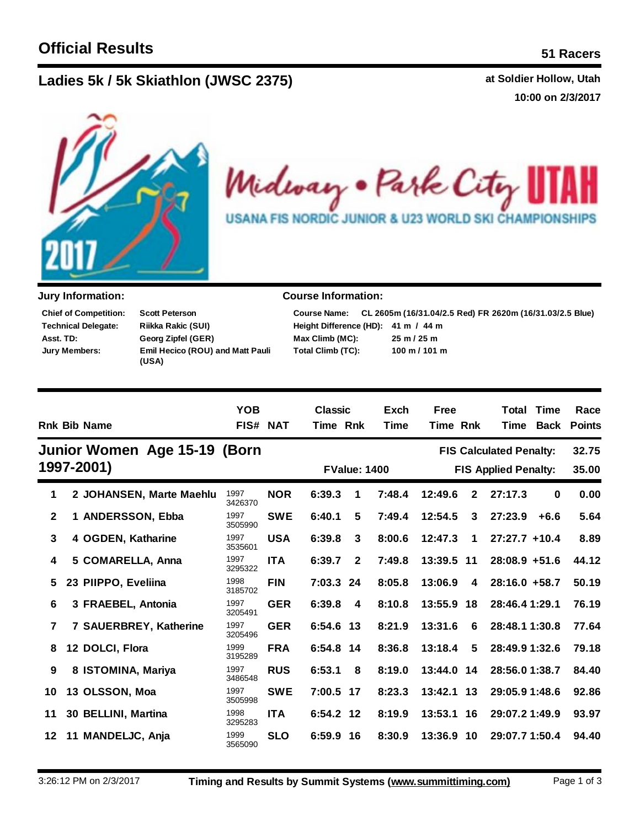## **Lad at Soldier Hollow, Utah ies 5k / 5k Skiathlon (JWSC 2375)**

**10:00 on 2/3/2017**



Midway . Park City 11 H **USANA FIS NORDIC JUNIOR & U23 WORLD SKI CHAMPIONSHIPS** 

| <b>Chief of Competition:</b> | <b>Scott Peterson</b>                            |
|------------------------------|--------------------------------------------------|
| <b>Technical Delegate:</b>   | Riikka Rakic (SUI)                               |
| Asst. TD:                    | Georg Zipfel (GER)                               |
| Jury Members:                | <b>Emil Hecico (ROU) and Matt Pauli</b><br>(USA) |

## **Jury Information: Course Information:**

| <b>Course Name:</b>                 | CL 2605m (16/31.04/2.5 Red) FR 2620m (16/31.03/2.5 Blue) |
|-------------------------------------|----------------------------------------------------------|
| Height Difference (HD): 41 m / 44 m |                                                          |
| Max Climb (MC):                     | $25 \text{ m} / 25 \text{ m}$                            |
| Total Climb (TC):                   | $100 \text{ m} / 101 \text{ m}$                          |

|              | <b>Rnk Bib Name</b>          | <b>YOB</b><br>FIS# NAT |            | <b>Classic</b><br>Time Rnk |              | Exch<br><b>Time</b> | <b>Free</b><br>Time Rnk |              | Total<br>Time                  | <b>Time</b><br><b>Back</b> | Race<br><b>Points</b> |
|--------------|------------------------------|------------------------|------------|----------------------------|--------------|---------------------|-------------------------|--------------|--------------------------------|----------------------------|-----------------------|
|              | Junior Women Age 15-19 (Born |                        |            |                            |              |                     |                         |              | <b>FIS Calculated Penalty:</b> |                            | 32.75                 |
|              | 1997-2001)                   |                        |            |                            |              | <b>FValue: 1400</b> |                         |              | <b>FIS Applied Penalty:</b>    |                            | 35.00                 |
| 1            | 2 JOHANSEN, Marte Maehlu     | 1997<br>3426370        | <b>NOR</b> | 6:39.3                     | 1            | 7:48.4              | 12:49.6                 | $\mathbf{2}$ | 27:17.3                        | $\bf{0}$                   | 0.00                  |
| $\mathbf{2}$ | 1 ANDERSSON, Ebba            | 1997<br>3505990        | <b>SWE</b> | 6:40.1                     | 5            | 7:49.4              | 12:54.5                 | 3            | 27:23.9                        | $+6.6$                     | 5.64                  |
| 3            | 4 OGDEN, Katharine           | 1997<br>3535601        | <b>USA</b> | 6:39.8                     | 3            | 8:00.6              | 12:47.3                 | 1            | $27:27.7$ +10.4                |                            | 8.89                  |
| 4            | 5 COMARELLA, Anna            | 1997<br>3295322        | <b>ITA</b> | 6:39.7                     | $\mathbf{2}$ | 7:49.8              | 13:39.5 11              |              | $28:08.9 + 51.6$               |                            | 44.12                 |
| 5            | 23 PIIPPO, Eveliina          | 1998<br>3185702        | <b>FIN</b> | 7:03.3 24                  |              | 8:05.8              | 13:06.9                 | 4            | $28:16.0 + 58.7$               |                            | 50.19                 |
| 6            | 3 FRAEBEL, Antonia           | 1997<br>3205491        | <b>GER</b> | 6:39.8                     | 4            | 8:10.8              | 13:55.9                 | 18           | 28:46.4 1:29.1                 |                            | 76.19                 |
| 7            | 7 SAUERBREY, Katherine       | 1997<br>3205496        | <b>GER</b> | 6:54.6 13                  |              | 8:21.9              | 13:31.6                 | 6            | 28:48.1 1:30.8                 |                            | 77.64                 |
| 8            | 12 DOLCI, Flora              | 1999<br>3195289        | <b>FRA</b> | 6:54.8 14                  |              | 8:36.8              | 13:18.4                 | 5            | 28:49.9 1:32.6                 |                            | 79.18                 |
| 9            | 8 ISTOMINA, Mariya           | 1997<br>3486548        | <b>RUS</b> | 6:53.1                     | 8            | 8:19.0              | 13:44.0 14              |              | 28:56.0 1:38.7                 |                            | 84.40                 |
| 10           | 13 OLSSON, Moa               | 1997<br>3505998        | <b>SWE</b> | 7:00.5 17                  |              | 8:23.3              | 13:42.1                 | 13           | 29:05.9 1:48.6                 |                            | 92.86                 |
| 11           | 30 BELLINI, Martina          | 1998<br>3295283        | <b>ITA</b> | 6:54.2 12                  |              | 8:19.9              | 13:53.1                 | - 16         | 29:07.2 1:49.9                 |                            | 93.97                 |
| 12           | 11 MANDELJC, Anja            | 1999<br>3565090        | <b>SLO</b> | 6:59.9 16                  |              | 8:30.9              | 13:36.9                 | 10           | 29:07.7 1:50.4                 |                            | 94.40                 |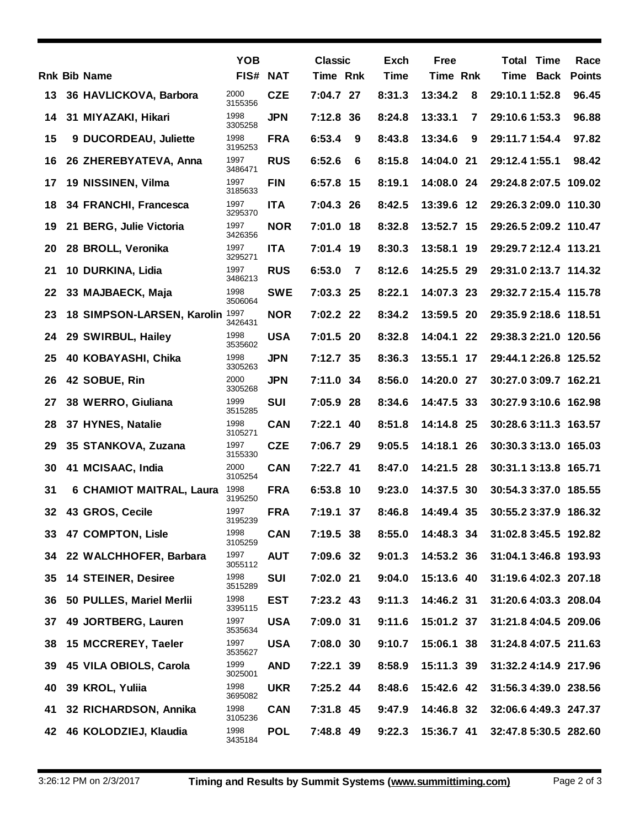|    |                                 | <b>YOB</b>      |            | <b>Classic</b> |   | Exch        | <b>Free</b>     |    | <b>Total Time</b>     | Race          |
|----|---------------------------------|-----------------|------------|----------------|---|-------------|-----------------|----|-----------------------|---------------|
|    | <b>Rnk Bib Name</b>             | FIS# NAT        |            | Time Rnk       |   | <b>Time</b> | <b>Time Rnk</b> |    | Time Back             | <b>Points</b> |
| 13 | 36 HAVLICKOVA, Barbora          | 2000<br>3155356 | <b>CZE</b> | 7:04.7 27      |   | 8:31.3      | 13:34.2         | 8  | 29:10.1 1:52.8        | 96.45         |
| 14 | 31 MIYAZAKI, Hikari             | 1998<br>3305258 | <b>JPN</b> | 7:12.8 36      |   | 8:24.8      | 13:33.1         | 7  | 29:10.6 1:53.3        | 96.88         |
| 15 | 9 DUCORDEAU, Juliette           | 1998<br>3195253 | <b>FRA</b> | 6:53.4         | 9 | 8:43.8      | 13:34.6         | 9  | 29:11.7 1:54.4        | 97.82         |
| 16 | 26 ZHEREBYATEVA, Anna           | 1997<br>3486471 | <b>RUS</b> | 6:52.6         | 6 | 8:15.8      | 14:04.0 21      |    | 29:12.4 1:55.1        | 98.42         |
| 17 | 19 NISSINEN, Vilma              | 1997<br>3185633 | <b>FIN</b> | 6:57.8 15      |   | 8:19.1      | 14:08.0         | 24 | 29:24.8 2:07.5 109.02 |               |
| 18 | 34 FRANCHI, Francesca           | 1997<br>3295370 | <b>ITA</b> | 7:04.3 26      |   | 8:42.5      | 13:39.6 12      |    | 29:26.3 2:09.0 110.30 |               |
| 19 | 21 BERG, Julie Victoria         | 1997<br>3426356 | <b>NOR</b> | 7:01.0 18      |   | 8:32.8      | 13:52.7 15      |    | 29:26.5 2:09.2 110.47 |               |
| 20 | 28 BROLL, Veronika              | 1997<br>3295271 | <b>ITA</b> | 7:01.4 19      |   | 8:30.3      | 13:58.1         | 19 | 29:29.7 2:12.4 113.21 |               |
| 21 | 10 DURKINA, Lidia               | 1997<br>3486213 | <b>RUS</b> | 6:53.0         | 7 | 8:12.6      | 14:25.5         | 29 | 29:31.0 2:13.7 114.32 |               |
| 22 | 33 MAJBAECK, Maja               | 1998<br>3506064 | <b>SWE</b> | 7:03.3 25      |   | 8:22.1      | 14:07.3 23      |    | 29:32.7 2:15.4 115.78 |               |
| 23 | 18 SIMPSON-LARSEN, Karolin 1997 | 3426431         | <b>NOR</b> | 7:02.2 22      |   | 8:34.2      | 13:59.5         | 20 | 29:35.9 2:18.6 118.51 |               |
| 24 | 29 SWIRBUL, Hailey              | 1998<br>3535602 | <b>USA</b> | 7:01.5 20      |   | 8:32.8      | 14:04.1 22      |    | 29:38.3 2:21.0 120.56 |               |
| 25 | 40 KOBAYASHI, Chika             | 1998<br>3305263 | <b>JPN</b> | 7:12.7 35      |   | 8:36.3      | 13:55.1         | 17 | 29:44.1 2:26.8 125.52 |               |
| 26 | 42 SOBUE, Rin                   | 2000<br>3305268 | <b>JPN</b> | 7:11.0 34      |   | 8:56.0      | 14:20.0         | 27 | 30:27.0 3:09.7 162.21 |               |
| 27 | 38 WERRO, Giuliana              | 1999<br>3515285 | <b>SUI</b> | 7:05.9 28      |   | 8:34.6      | 14:47.5 33      |    | 30:27.9 3:10.6 162.98 |               |
| 28 | 37 HYNES, Natalie               | 1998<br>3105271 | <b>CAN</b> | 7:22.1 40      |   | 8:51.8      | 14:14.8 25      |    | 30:28.6 3:11.3 163.57 |               |
| 29 | 35 STANKOVA, Zuzana             | 1997<br>3155330 | <b>CZE</b> | 7:06.7 29      |   | 9:05.5      | 14:18.1         | 26 | 30:30.3 3:13.0 165.03 |               |
| 30 | 41 MCISAAC, India               | 2000<br>3105254 | <b>CAN</b> | 7:22.7 41      |   | 8:47.0      | 14:21.5         | 28 | 30:31.1 3:13.8 165.71 |               |
| 31 | <b>6 CHAMIOT MAITRAL, Laura</b> | 1998<br>3195250 | <b>FRA</b> | 6:53.8 10      |   | 9:23.0      | 14:37.5 30      |    | 30:54.3 3:37.0 185.55 |               |
| 32 | 43 GROS, Cecile                 | 1997<br>3195239 | <b>FRA</b> | 7:19.1 37      |   | 8:46.8      | 14:49.4 35      |    | 30:55.2 3:37.9 186.32 |               |
| 33 | 47 COMPTON, Lisle               | 1998<br>3105259 | <b>CAN</b> | 7:19.5 38      |   | 8:55.0      | 14:48.3 34      |    | 31:02.8 3:45.5 192.82 |               |
| 34 | 22 WALCHHOFER, Barbara          | 1997<br>3055112 | <b>AUT</b> | 7:09.6 32      |   | 9:01.3      | 14:53.2 36      |    | 31:04.1 3:46.8 193.93 |               |
| 35 | <b>14 STEINER, Desiree</b>      | 1998<br>3515289 | <b>SUI</b> | 7:02.0 21      |   | 9:04.0      | 15:13.6 40      |    | 31:19.6 4:02.3 207.18 |               |
| 36 | 50 PULLES, Mariel Merlii        | 1998<br>3395115 | <b>EST</b> | 7:23.2 43      |   | 9:11.3      | 14:46.2 31      |    | 31:20.6 4:03.3 208.04 |               |
| 37 | 49 JORTBERG, Lauren             | 1997<br>3535634 | <b>USA</b> | 7:09.0 31      |   | 9:11.6      | 15:01.2 37      |    | 31:21.8 4:04.5 209.06 |               |
| 38 | 15 MCCREREY, Taeler             | 1997<br>3535627 | <b>USA</b> | 7:08.0 30      |   | 9:10.7      | 15:06.1 38      |    | 31:24.8 4:07.5 211.63 |               |
| 39 | 45 VILA OBIOLS, Carola          | 1999<br>3025001 | <b>AND</b> | 7:22.1 39      |   | 8:58.9      | 15:11.3 39      |    | 31:32.2 4:14.9 217.96 |               |
| 40 | 39 KROL, Yuliia                 | 1998<br>3695082 | <b>UKR</b> | 7:25.2 44      |   | 8:48.6      | 15:42.6 42      |    | 31:56.3 4:39.0 238.56 |               |
| 41 | 32 RICHARDSON, Annika           | 1998<br>3105236 | <b>CAN</b> | 7:31.8 45      |   | 9:47.9      | 14:46.8 32      |    | 32:06.6 4:49.3 247.37 |               |
| 42 | 46 KOLODZIEJ, Klaudia           | 1998<br>3435184 | <b>POL</b> | 7:48.8 49      |   | 9:22.3      | 15:36.7 41      |    | 32:47.8 5:30.5 282.60 |               |